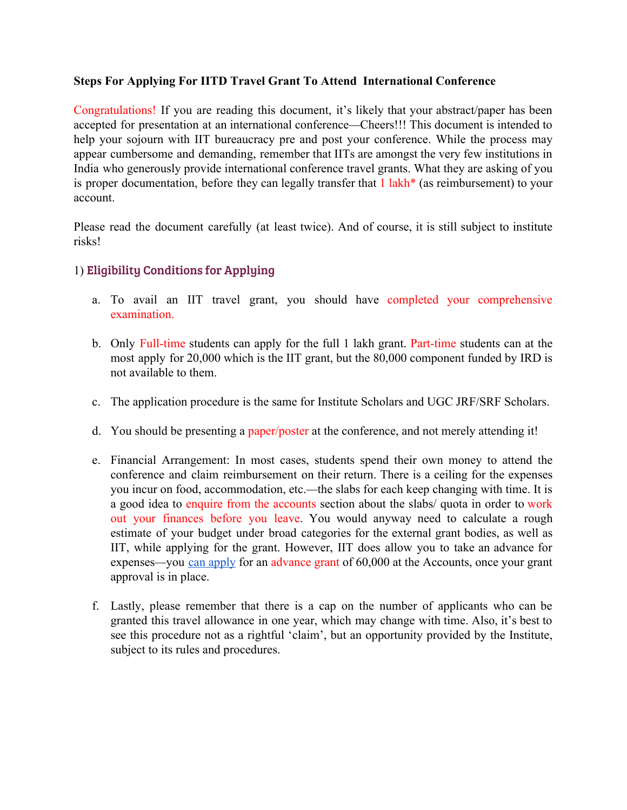## **Steps For Applying For IITD Travel Grant To Attend International Conference**

Congratulations! If you are reading this document, it's likely that your abstract/paper has been accepted for presentation at an international conference—Cheers!!! This document is intended to help your sojourn with IIT bureaucracy pre and post your conference. While the process may appear cumbersome and demanding, remember that IITs are amongst the very few institutions in India who generously provide international conference travel grants. What they are asking of you is proper documentation, before they can legally transfer that 1 lakh\* (as reimbursement) to your account.

Please read the document carefully (at least twice). And of course, it is still subject to institute risks!

# 1) Eligibility Conditions for Applying

- a. To avail an IIT travel grant, you should have completed your comprehensive examination.
- b. Only Full-time students can apply for the full 1 lakh grant. Part-time students can at the most apply for 20,000 which is the IIT grant, but the 80,000 component funded by IRD is not available to them.
- c. The application procedure is the same for Institute Scholars and UGC JRF/SRF Scholars.
- d. You should be presenting a paper/poster at the conference, and not merely attending it!
- e. Financial Arrangement: In most cases, students spend their own money to attend the conference and claim reimbursement on their return. There is a ceiling for the expenses you incur on food, accommodation, etc.—the slabs for each keep changing with time. It is a good idea to enquire from the accounts section about the slabs/ quota in order to work out your finances before you leave. You would anyway need to calculate a rough estimate of your budget under broad categories for the external grant bodies, as well as IIT, while applying for the grant. However, IIT does allow you to take an advance for expenses—you can [apply](https://internal.iitd.ernet.in/sites/default/files/forms/TAadv.pdf) for an [advance](https://internal.iitd.ernet.in/sites/default/files/forms/TAadv.pdf) grant of 60,000 at the Accounts, once your grant approval is in place.
- f. Lastly, please remember that there is a cap on the number of applicants who can be granted this travel allowance in one year, which may change with time. Also, it's best to see this procedure not as a rightful 'claim', but an opportunity provided by the Institute, subject to its rules and procedures.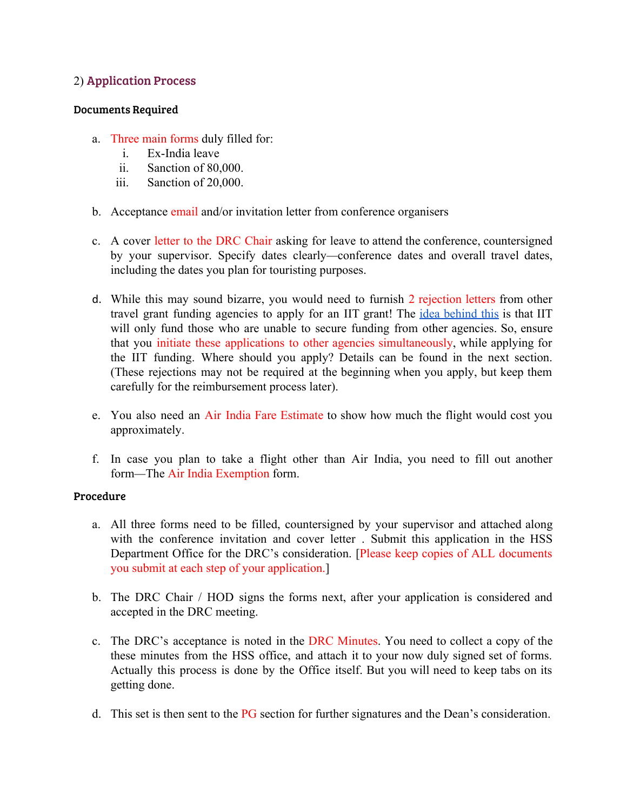# 2) Application Process

## Documents Required

- a. Three main forms duly filled for:
	- i. Ex-India leave
	- ii. Sanction of 80,000.
	- iii. Sanction of 20,000.
- b. Acceptance email and/or invitation letter from conference organisers
- c. A cover letter to the DRC Chair asking for leave to attend the conference, countersigned by your supervisor. Specify dates clearly—conference dates and overall travel dates, including the dates you plan for touristing purposes.
- d. While this may sound bizarre, you would need to furnish 2 rejection letters from other travel grant funding agencies to apply for an IIT grant! The *idea [behind](http://ird.iitd.ac.in/content/research-scholar-travel-award) this* is that IIT will only fund those who are unable to secure funding from other agencies. So, ensure that you initiate these applications to other agencies simultaneously, while applying for the IIT funding. Where should you apply? Details can be found in the next section. (These rejections may not be required at the beginning when you apply, but keep them carefully for the reimbursement process later).
- e. You also need an Air India Fare Estimate to show how much the flight would cost you approximately.
- f. In case you plan to take a flight other than Air India, you need to fill out another form—The Air India Exemption form.

## Procedure

- a. All three forms need to be filled, countersigned by your supervisor and attached along with the conference invitation and cover letter . Submit this application in the HSS Department Office for the DRC's consideration. [Please keep copies of ALL documents you submit at each step of your application.]
- b. The DRC Chair / HOD signs the forms next, after your application is considered and accepted in the DRC meeting.
- c. The DRC's acceptance is noted in the DRC Minutes. You need to collect a copy of the these minutes from the HSS office, and attach it to your now duly signed set of forms. Actually this process is done by the Office itself. But you will need to keep tabs on its getting done.
- d. This set is then sent to the PG section for further signatures and the Dean's consideration.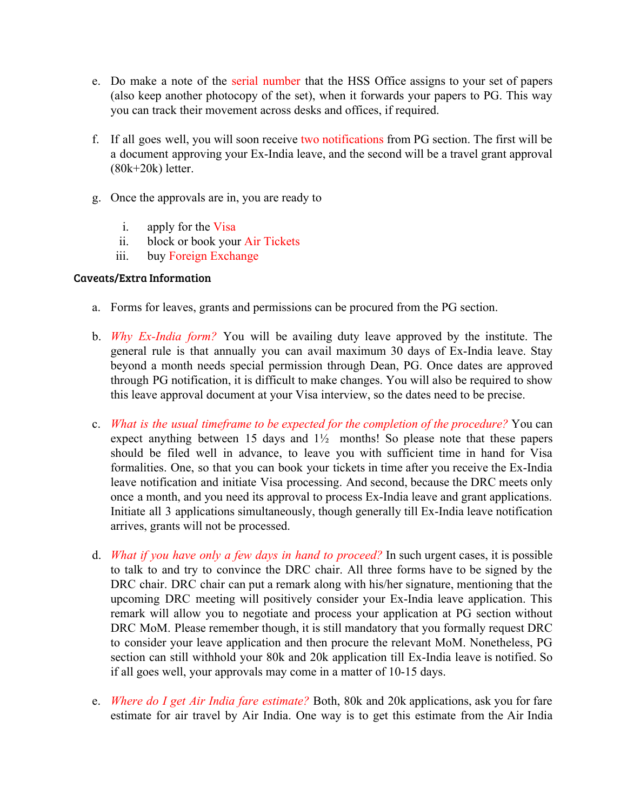- e. Do make a note of the serial number that the HSS Office assigns to your set of papers (also keep another photocopy of the set), when it forwards your papers to PG. This way you can track their movement across desks and offices, if required.
- f. If all goes well, you will soon receive two notifications from PG section. The first will be a document approving your Ex-India leave, and the second will be a travel grant approval (80k+20k) letter.
- g. Once the approvals are in, you are ready to
	- i. apply for the Visa
	- ii. block or book your Air Tickets
	- iii. buy Foreign Exchange

## Caveats/Extra Information

- a. Forms for leaves, grants and permissions can be procured from the PG section.
- b. *Why Ex-India form?* You will be availing duty leave approved by the institute. The general rule is that annually you can avail maximum 30 days of Ex-India leave. Stay beyond a month needs special permission through Dean, PG. Once dates are approved through PG notification, it is difficult to make changes. You will also be required to show this leave approval document at your Visa interview, so the dates need to be precise.
- c. *What is the usual timeframe to be expected for the completion of the procedure?* You can expect anything between 15 days and  $1\frac{1}{2}$  months! So please note that these papers should be filed well in advance, to leave you with sufficient time in hand for Visa formalities. One, so that you can book your tickets in time after you receive the Ex-India leave notification and initiate Visa processing. And second, because the DRC meets only once a month, and you need its approval to process Ex-India leave and grant applications. Initiate all 3 applications simultaneously, though generally till Ex-India leave notification arrives, grants will not be processed.
- d. *What if you have only a few days in hand to proceed?* In such urgent cases, it is possible to talk to and try to convince the DRC chair. All three forms have to be signed by the DRC chair. DRC chair can put a remark along with his/her signature, mentioning that the upcoming DRC meeting will positively consider your Ex-India leave application. This remark will allow you to negotiate and process your application at PG section without DRC MoM. Please remember though, it is still mandatory that you formally request DRC to consider your leave application and then procure the relevant MoM. Nonetheless, PG section can still withhold your 80k and 20k application till Ex-India leave is notified. So if all goes well, your approvals may come in a matter of 10-15 days.
- e. *Where do I get Air India fare estimate?* Both, 80k and 20k applications, ask you for fare estimate for air travel by Air India. One way is to get this estimate from the Air India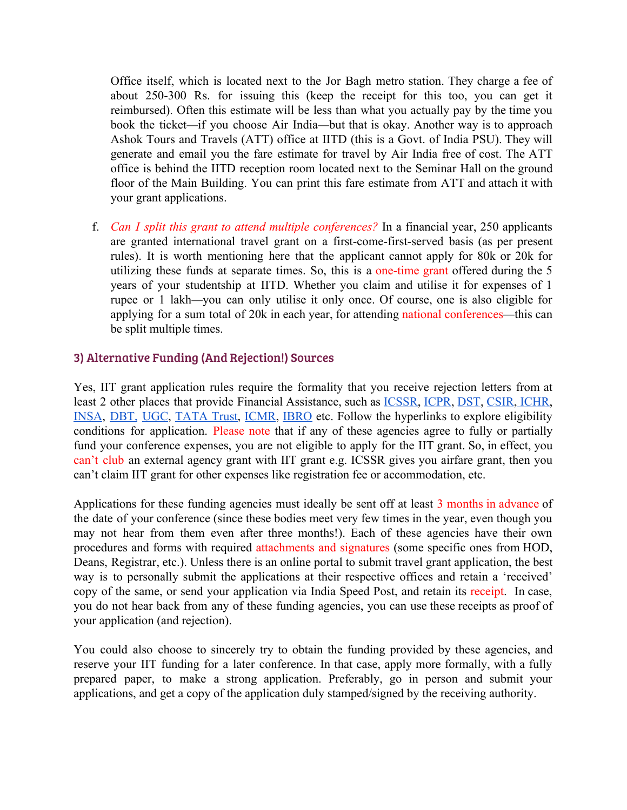Office itself, which is located next to the Jor Bagh metro station. They charge a fee of about 250-300 Rs. for issuing this (keep the receipt for this too, you can get it reimbursed). Often this estimate will be less than what you actually pay by the time you book the ticket—if you choose Air India—but that is okay. Another way is to approach Ashok Tours and Travels (ATT) office at IITD (this is a Govt. of India PSU). They will generate and email you the fare estimate for travel by Air India free of cost. The ATT office is behind the IITD reception room located next to the Seminar Hall on the ground floor of the Main Building. You can print this fare estimate from ATT and attach it with your grant applications.

f. *Can I split this grant to attend multiple conferences?* In a financial year, 250 applicants are granted international travel grant on a first-come-first-served basis (as per present rules). It is worth mentioning here that the applicant cannot apply for 80k or 20k for utilizing these funds at separate times. So, this is a one-time grant offered during the 5 years of your studentship at IITD. Whether you claim and utilise it for expenses of 1 rupee or 1 lakh—you can only utilise it only once. Of course, one is also eligible for applying for a sum total of 20k in each year, for attending national conferences—this can be split multiple times.

# 3) Alternative Funding (And Rejection!) Sources

Yes, IIT grant application rules require the formality that you receive rejection letters from at least 2 other places that provide Financial Assistance, such as [ICSSR](http://icssr.org/ic_part_int_semi.htm), [ICPR,](http://www.icpr.in/travel-grant-form.pdf) [DST,](http://serb.gov.in/its.php) [CSIR](http://csirhrdg.res.in/tg_form.htm), [ICHR,](http://ichr.ac.in/research_funding_rules_chap5.html) [INSA](http://www.cics.tn.nic.in/), [DBT,](http://dbtctep.gov.in/index.php?option=proposal_instructions&proposal_type=50&instruction=1) [UGC](http://www.eschemesugc.gov.in/download/Travel_Grant.pdf), [TATA](http://www.tatatrusts.org/article/inside/education-grants) Trust, [ICMR](http://www.icmr.nic.in/Forms/travel_non_icmr.htm), [IBRO](http://ibro.info/professional-development/funding-programmes/travel-grants/) etc. Follow the hyperlinks to explore eligibility conditions for application. Please note that if any of these agencies agree to fully or partially fund your conference expenses, you are not eligible to apply for the IIT grant. So, in effect, you can't club an external agency grant with IIT grant e.g. ICSSR gives you airfare grant, then you can't claim IIT grant for other expenses like registration fee or accommodation, etc.

Applications for these funding agencies must ideally be sent off at least 3 months in advance of the date of your conference (since these bodies meet very few times in the year, even though you may not hear from them even after three months!). Each of these agencies have their own procedures and forms with required attachments and signatures (some specific ones from HOD, Deans, Registrar, etc.). Unless there is an online portal to submit travel grant application, the best way is to personally submit the applications at their respective offices and retain a 'received' copy of the same, or send your application via India Speed Post, and retain its receipt. In case, you do not hear back from any of these funding agencies, you can use these receipts as proof of your application (and rejection).

You could also choose to sincerely try to obtain the funding provided by these agencies, and reserve your IIT funding for a later conference. In that case, apply more formally, with a fully prepared paper, to make a strong application. Preferably, go in person and submit your applications, and get a copy of the application duly stamped/signed by the receiving authority.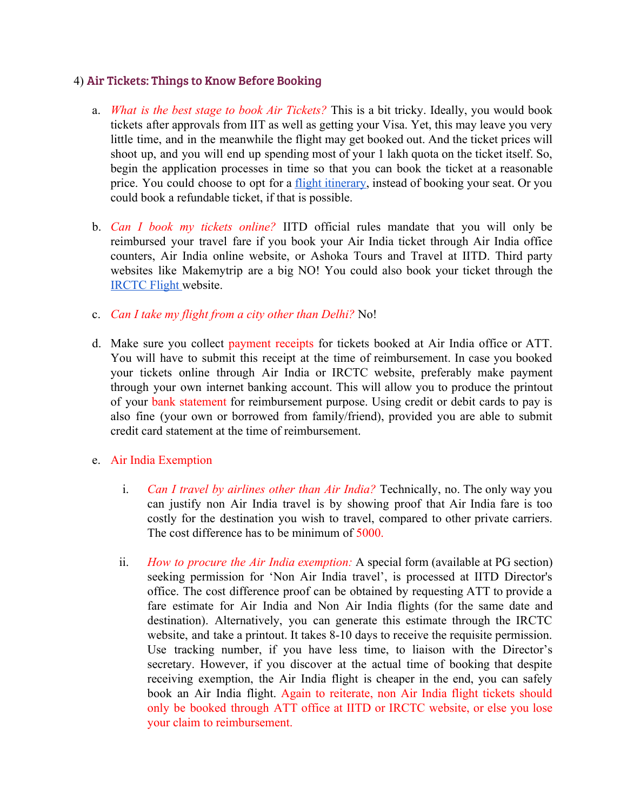## 4) Air Tickets: Things to Know Before Booking

- a. *What is the best stage to book Air Tickets?* This is a bit tricky. Ideally, you would book tickets after approvals from IIT as well as getting your Visa. Yet, this may leave you very little time, and in the meanwhile the flight may get booked out. And the ticket prices will shoot up, and you will end up spending most of your 1 lakh quota on the ticket itself. So, begin the application processes in time so that you can book the ticket at a reasonable price. You could choose to opt for a flight [itinerary,](https://visareservation.com/) instead of booking your seat. Or you could book a refundable ticket, if that is possible.
- b. *Can I book my tickets online?* IITD official rules mandate that you will only be reimbursed your travel fare if you book your Air India ticket through Air India office counters, Air India online website, or Ashoka Tours and Travel at IITD. Third party websites like Makemytrip are a big NO! You could also book your ticket through the [IRCTC Flight](https://www.air.irctc.co.in/) website.
- c. *Can I take my flight from a city other than Delhi?* No!
- d. Make sure you collect payment receipts for tickets booked at Air India office or ATT. You will have to submit this receipt at the time of reimbursement. In case you booked your tickets online through Air India or IRCTC website, preferably make payment through your own internet banking account. This will allow you to produce the printout of your bank statement for reimbursement purpose. Using credit or debit cards to pay is also fine (your own or borrowed from family/friend), provided you are able to submit credit card statement at the time of reimbursement.
- e. Air India Exemption
	- i. *Can I travel by airlines other than Air India?* Technically, no. The only way you can justify non Air India travel is by showing proof that Air India fare is too costly for the destination you wish to travel, compared to other private carriers. The cost difference has to be minimum of 5000.
	- ii. *How to procure the Air India exemption:* A special form (available at PG section) seeking permission for 'Non Air India travel', is processed at IITD Director's office. The cost difference proof can be obtained by requesting ATT to provide a fare estimate for Air India and Non Air India flights (for the same date and destination). Alternatively, you can generate this estimate through the IRCTC website, and take a printout. It takes 8-10 days to receive the requisite permission. Use tracking number, if you have less time, to liaison with the Director's secretary. However, if you discover at the actual time of booking that despite receiving exemption, the Air India flight is cheaper in the end, you can safely book an Air India flight. Again to reiterate, non Air India flight tickets should only be booked through ATT office at IITD or IRCTC website, or else you lose your claim to reimbursement.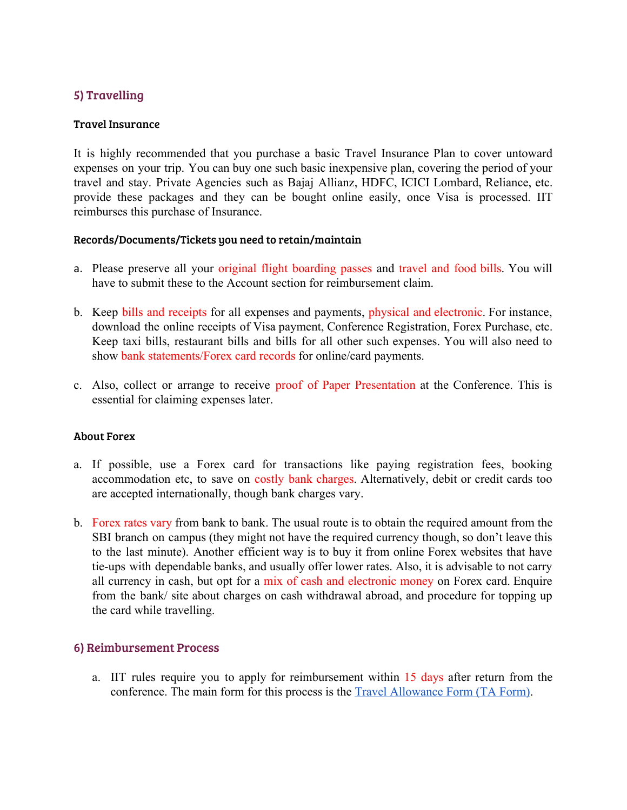# 5) Travelling

## Travel Insurance

It is highly recommended that you purchase a basic Travel Insurance Plan to cover untoward expenses on your trip. You can buy one such basic inexpensive plan, covering the period of your travel and stay. Private Agencies such as Bajaj Allianz, HDFC, ICICI Lombard, Reliance, etc. provide these packages and they can be bought online easily, once Visa is processed. IIT reimburses this purchase of Insurance.

## Records/Documents/Tickets you need to retain/maintain

- a. Please preserve all your original flight boarding passes and travel and food bills. You will have to submit these to the Account section for reimbursement claim.
- b. Keep bills and receipts for all expenses and payments, physical and electronic. For instance, download the online receipts of Visa payment, Conference Registration, Forex Purchase, etc. Keep taxi bills, restaurant bills and bills for all other such expenses. You will also need to show bank statements/Forex card records for online/card payments.
- c. Also, collect or arrange to receive proof of Paper Presentation at the Conference. This is essential for claiming expenses later.

## About Forex

- a. If possible, use a Forex card for transactions like paying registration fees, booking accommodation etc, to save on costly bank charges. Alternatively, debit or credit cards too are accepted internationally, though bank charges vary.
- b. Forex rates vary from bank to bank. The usual route is to obtain the required amount from the SBI branch on campus (they might not have the required currency though, so don't leave this to the last minute). Another efficient way is to buy it from online Forex websites that have tie-ups with dependable banks, and usually offer lower rates. Also, it is advisable to not carry all currency in cash, but opt for a mix of cash and electronic money on Forex card. Enquire from the bank/ site about charges on cash withdrawal abroad, and procedure for topping up the card while travelling.

## 6) Reimbursement Process

a. IIT rules require you to apply for reimbursement within 15 days after return from the conference. The main form for this process is the [Travel Allowance Form \(TA Form\).](https://internal.iitd.ernet.in/sites/default/files/forms/TAbill.pdf)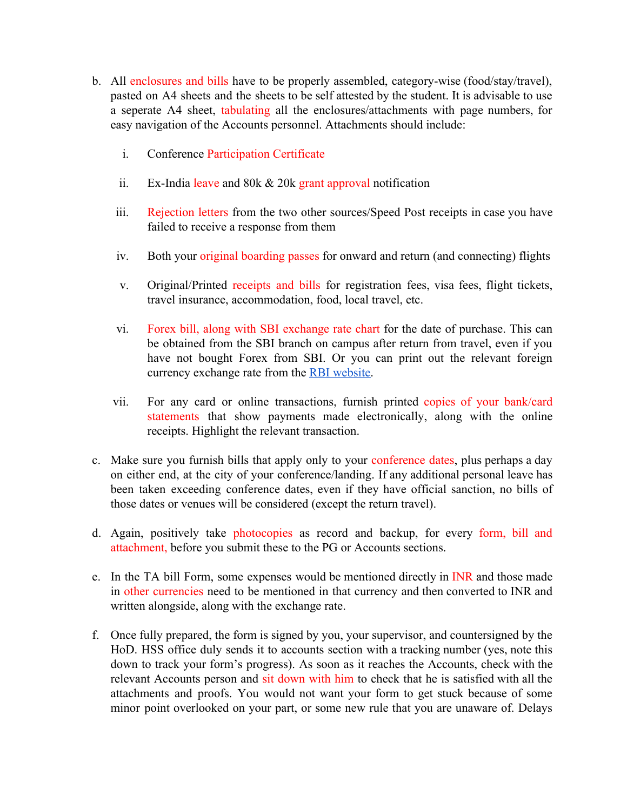- b. All enclosures and bills have to be properly assembled, category-wise (food/stay/travel), pasted on A4 sheets and the sheets to be self attested by the student. It is advisable to use a seperate A4 sheet, tabulating all the enclosures/attachments with page numbers, for easy navigation of the Accounts personnel. Attachments should include:
	- i. Conference Participation Certificate
	- ii. Ex-India leave and 80k & 20k grant approval notification
	- iii. Rejection letters from the two other sources/Speed Post receipts in case you have failed to receive a response from them
	- iv. Both your original boarding passes for onward and return (and connecting) flights
	- v. Original/Printed receipts and bills for registration fees, visa fees, flight tickets, travel insurance, accommodation, food, local travel, etc.
	- vi. Forex bill, along with SBI exchange rate chart for the date of purchase. This can be obtained from the SBI branch on campus after return from travel, even if you have not bought Forex from SBI. Or you can print out the relevant foreign currency exchange rate from the [RBI website.](https://www.rbi.org.in/scripts/referenceratearchive.aspx)
	- vii. For any card or online transactions, furnish printed copies of your bank/card statements that show payments made electronically, along with the online receipts. Highlight the relevant transaction.
- c. Make sure you furnish bills that apply only to your conference dates, plus perhaps a day on either end, at the city of your conference/landing. If any additional personal leave has been taken exceeding conference dates, even if they have official sanction, no bills of those dates or venues will be considered (except the return travel).
- d. Again, positively take photocopies as record and backup, for every form, bill and attachment, before you submit these to the PG or Accounts sections.
- e. In the TA bill Form, some expenses would be mentioned directly in INR and those made in other currencies need to be mentioned in that currency and then converted to INR and written alongside, along with the exchange rate.
- f. Once fully prepared, the form is signed by you, your supervisor, and countersigned by the HoD. HSS office duly sends it to accounts section with a tracking number (yes, note this down to track your form's progress). As soon as it reaches the Accounts, check with the relevant Accounts person and sit down with him to check that he is satisfied with all the attachments and proofs. You would not want your form to get stuck because of some minor point overlooked on your part, or some new rule that you are unaware of. Delays